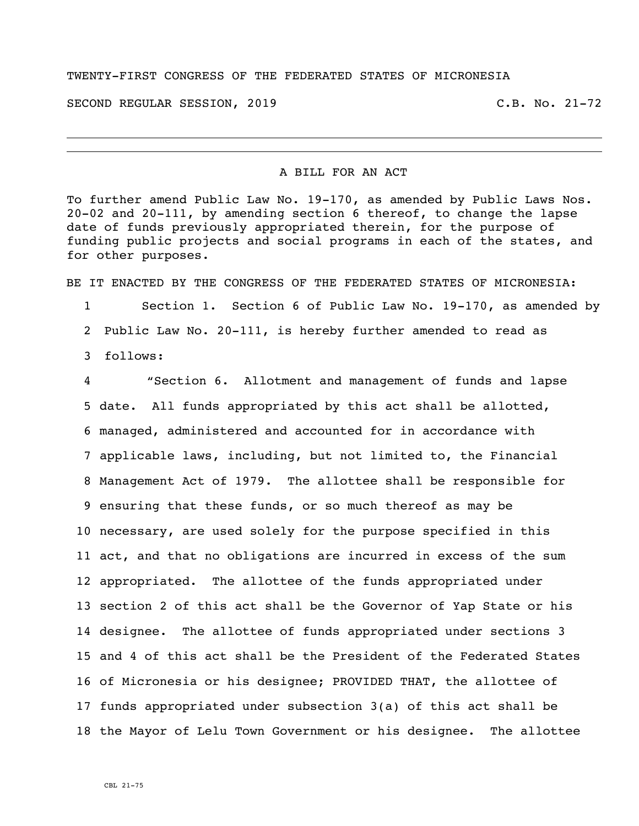## TWENTY-FIRST CONGRESS OF THE FEDERATED STATES OF MICRONESIA

SECOND REGULAR SESSION, 2019 C.B. No. 21-72

A BILL FOR AN ACT

To further amend Public Law No. 19-170, as amended by Public Laws Nos. 20-02 and 20-111, by amending section 6 thereof, to change the lapse date of funds previously appropriated therein, for the purpose of funding public projects and social programs in each of the states, and for other purposes.

BE IT ENACTED BY THE CONGRESS OF THE FEDERATED STATES OF MICRONESIA:

 Section 1. Section 6 of Public Law No. 19-170, as amended by Public Law No. 20-111, is hereby further amended to read as follows:

 "Section 6. Allotment and management of funds and lapse date. All funds appropriated by this act shall be allotted, managed, administered and accounted for in accordance with applicable laws, including, but not limited to, the Financial Management Act of 1979. The allottee shall be responsible for ensuring that these funds, or so much thereof as may be necessary, are used solely for the purpose specified in this act, and that no obligations are incurred in excess of the sum appropriated. The allottee of the funds appropriated under section 2 of this act shall be the Governor of Yap State or his designee. The allottee of funds appropriated under sections 3 and 4 of this act shall be the President of the Federated States of Micronesia or his designee; PROVIDED THAT, the allottee of funds appropriated under subsection 3(a) of this act shall be the Mayor of Lelu Town Government or his designee. The allottee